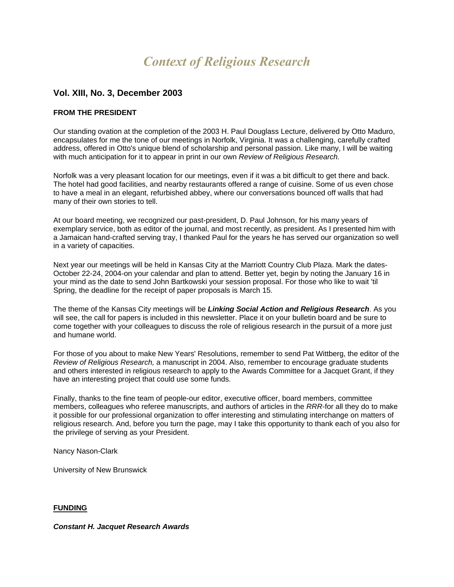# *Context of Religious Research*

# **Vol. XIII, No. 3, December 2003**

## **FROM THE PRESIDENT**

Our standing ovation at the completion of the 2003 H. Paul Douglass Lecture, delivered by Otto Maduro, encapsulates for me the tone of our meetings in Norfolk, Virginia. It was a challenging, carefully crafted address, offered in Otto's unique blend of scholarship and personal passion. Like many, I will be waiting with much anticipation for it to appear in print in our own *Review of Religious Research.*

Norfolk was a very pleasant location for our meetings, even if it was a bit difficult to get there and back. The hotel had good facilities, and nearby restaurants offered a range of cuisine. Some of us even chose to have a meal in an elegant, refurbished abbey, where our conversations bounced off walls that had many of their own stories to tell.

At our board meeting, we recognized our past-president, D. Paul Johnson, for his many years of exemplary service, both as editor of the journal, and most recently, as president. As I presented him with a Jamaican hand-crafted serving tray, I thanked Paul for the years he has served our organization so well in a variety of capacities.

Next year our meetings will be held in Kansas City at the Marriott Country Club Plaza. Mark the dates-October 22-24, 2004-on your calendar and plan to attend. Better yet, begin by noting the January 16 in your mind as the date to send John Bartkowski your session proposal. For those who like to wait 'til Spring, the deadline for the receipt of paper proposals is March 15.

The theme of the Kansas City meetings will be *Linking Social Action and Religious Research*. As you will see, the call for papers is included in this newsletter. Place it on your bulletin board and be sure to come together with your colleagues to discuss the role of religious research in the pursuit of a more just and humane world.

For those of you about to make New Years' Resolutions, remember to send Pat Wittberg, the editor of the *Review of Religious Research,* a manuscript in 2004. Also, remember to encourage graduate students and others interested in religious research to apply to the Awards Committee for a Jacquet Grant, if they have an interesting project that could use some funds.

Finally, thanks to the fine team of people-our editor, executive officer, board members, committee members, colleagues who referee manuscripts, and authors of articles in the *RRR*-for all they do to make it possible for our professional organization to offer interesting and stimulating interchange on matters of religious research. And, before you turn the page, may I take this opportunity to thank each of you also for the privilege of serving as your President.

Nancy Nason-Clark

University of New Brunswick

## **FUNDING**

#### *Constant H. Jacquet Research Awards*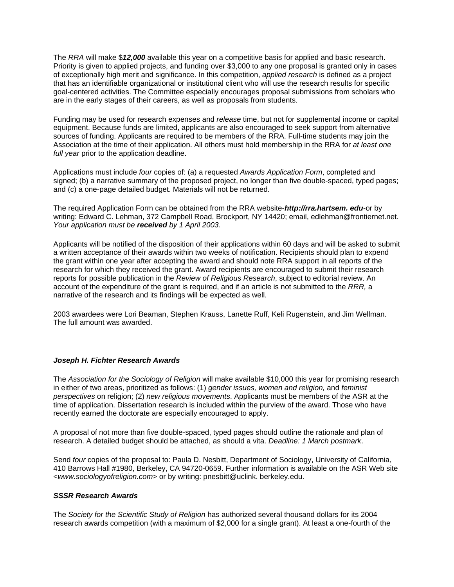The *RRA* will make \$*12,000* available this year on a competitive basis for applied and basic research. Priority is given to applied projects, and funding over \$3,000 to any one proposal is granted only in cases of exceptionally high merit and significance. In this competition, *applied research* is defined as a project that has an identifiable organizational or institutional client who will use the research results for specific goal-centered activities. The Committee especially encourages proposal submissions from scholars who are in the early stages of their careers, as well as proposals from students.

Funding may be used for research expenses and *release* time, but not for supplemental income or capital equipment. Because funds are limited, applicants are also encouraged to seek support from alternative sources of funding. Applicants are required to be members of the RRA. Full-time students may join the Association at the time of their application. All others must hold membership in the RRA for *at least one full year* prior to the application deadline.

Applications must include *four* copies of: (a) a requested *Awards Application Form*, completed and signed; (b) a narrative summary of the proposed project, no longer than five double-spaced, typed pages; and (c) a one-page detailed budget. Materials will not be returned.

The required Application Form can be obtained from the RRA website-*http://rra.hartsem. edu*-or by writing: Edward C. Lehman, 372 Campbell Road, Brockport, NY 14420; email, edlehman@frontiernet.net. *Your application must be received by 1 April 2003.*

Applicants will be notified of the disposition of their applications within 60 days and will be asked to submit a written acceptance of their awards within two weeks of notification. Recipients should plan to expend the grant within one year after accepting the award and should note RRA support in all reports of the research for which they received the grant. Award recipients are encouraged to submit their research reports for possible publication in the *Review of Religious Research*, subject to editorial review. An account of the expenditure of the grant is required, and if an article is not submitted to the *RRR,* a narrative of the research and its findings will be expected as well.

2003 awardees were Lori Beaman, Stephen Krauss, Lanette Ruff, Keli Rugenstein, and Jim Wellman. The full amount was awarded.

## *Joseph H. Fichter Research Awards*

The *Association for the Sociology of Religion* will make available \$10,000 this year for promising research in either of two areas, prioritized as follows: (1) *gender issues, women and religion,* and *feminist perspectives* on religion; (2) *new religious movements*. Applicants must be members of the ASR at the time of application. Dissertation research is included within the purview of the award. Those who have recently earned the doctorate are especially encouraged to apply.

A proposal of not more than five double-spaced, typed pages should outline the rationale and plan of research. A detailed budget should be attached, as should a vita. *Deadline: 1 March postmark*.

Send *four* copies of the proposal to: Paula D. Nesbitt, Department of Sociology, University of California, 410 Barrows Hall #1980, Berkeley, CA 94720-0659. Further information is available on the ASR Web site <*www.sociologyofreligion.com*> or by writing: pnesbitt@uclink. berkeley.edu.

#### *SSSR Research Awards*

The *Society for the Scientific Study of Religion* has authorized several thousand dollars for its 2004 research awards competition (with a maximum of \$2,000 for a single grant). At least a one-fourth of the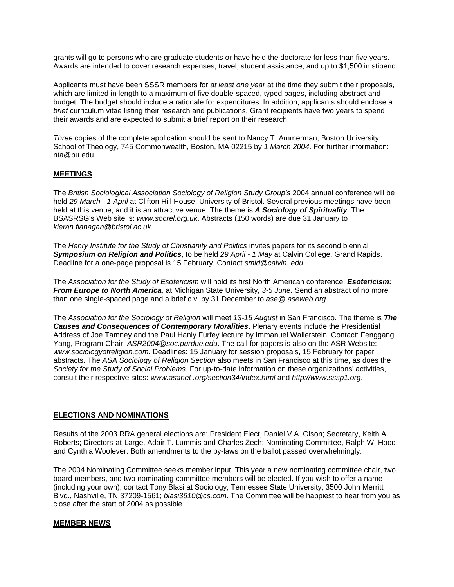grants will go to persons who are graduate students or have held the doctorate for less than five years. Awards are intended to cover research expenses, travel, student assistance, and up to \$1,500 in stipend.

Applicants must have been SSSR members for *at least one year* at the time they submit their proposals, which are limited in length to a maximum of five double-spaced, typed pages, including abstract and budget. The budget should include a rationale for expenditures. In addition, applicants should enclose a *brief* curriculum vitae listing their research and publications. Grant recipients have two years to spend their awards and are expected to submit a brief report on their research.

*Three* copies of the complete application should be sent to Nancy T. Ammerman, Boston University School of Theology, 745 Commonwealth, Boston, MA 02215 by *1 March 2004*. For further information: nta@bu.edu.

## **MEETINGS**

The *British Sociological Association Sociology of Religion Study Group's* 2004 annual conference will be held *29 March - 1 April* at Clifton Hill House, University of Bristol. Several previous meetings have been held at this venue, and it is an attractive venue. The theme is *A Sociology of Spirituality*. The BSASRSG's Web site is: *www.socrel.org.uk*. Abstracts (150 words) are due 31 January to *kieran.flanagan@bristol.ac.uk*.

The *Henry Institute for the Study of Christianity and Politics* invites papers for its second biennial *Symposium on Religion and Politics*, to be held *29 April - 1 May* at Calvin College, Grand Rapids. Deadline for a one-page proposal is 15 February. Contact *smid@calvin. edu.*

The *Association for the Study of Esotericism* will hold its first North American conference, *Esotericism: From Europe to North America,* at Michigan State University, *3-5 June.* Send an abstract of no more than one single-spaced page and a brief c.v. by 31 December to *ase@ aseweb.org*.

The *Association for the Sociology of Religion* will meet *13-15 August* in San Francisco. The theme is *The Causes and Consequences of Contemporary Moralities***.** Plenary events include the Presidential Address of Joe Tamney and the Paul Hanly Furfey lecture by Immanuel Wallerstein. Contact: Fenggang Yang, Program Chair: *ASR2004@soc.purdue.edu*. The call for papers is also on the ASR Website: *www.sociologyofreligion.com.* Deadlines: 15 January for session proposals, 15 February for paper abstracts. The *ASA Sociology of Religion Section* also meets in San Francisco at this time, as does the *Society for the Study of Social Problems*. For up-to-date information on these organizations' activities, consult their respective sites: *www.asanet .org/section34/index.html* and *http://www.sssp1.org*.

## **ELECTIONS AND NOMINATIONS**

Results of the 2003 RRA general elections are: President Elect, Daniel V.A. Olson; Secretary, Keith A. Roberts; Directors-at-Large, Adair T. Lummis and Charles Zech; Nominating Committee, Ralph W. Hood and Cynthia Woolever. Both amendments to the by-laws on the ballot passed overwhelmingly.

The 2004 Nominating Committee seeks member input. This year a new nominating committee chair, two board members, and two nominating committee members will be elected. If you wish to offer a name (including your own), contact Tony Blasi at Sociology, Tennessee State University, 3500 John Merritt Blvd., Nashville, TN 37209-1561; *blasi3610@cs.com*. The Committee will be happiest to hear from you as close after the start of 2004 as possible.

## **MEMBER NEWS**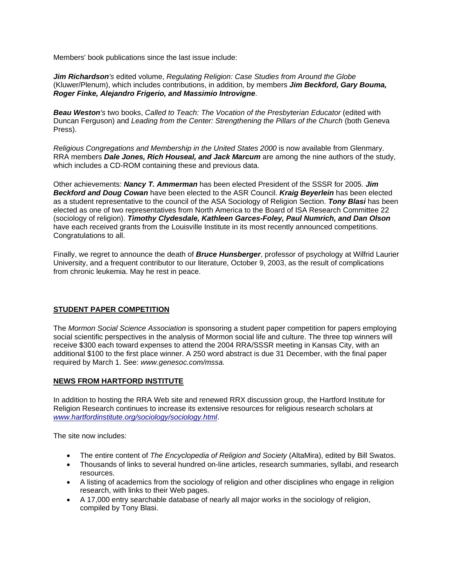Members' book publications since the last issue include:

*Jim Richardson's* edited volume, *Regulating Religion: Case Studies from Around the Globe*  (Kluwer/Plenum), which includes contributions, in addition, by members *Jim Beckford, Gary Bouma, Roger Finke, Alejandro Frigerio, and Massimio Introvigne*.

**Beau Weston**'s two books, Called to Teach: The Vocation of the Presbyterian Educator (edited with Duncan Ferguson) and *Leading from the Center: Strengthening the Pillars of the Church* (both Geneva Press).

*Religious Congregations and Membership in the United States 2000* is now available from Glenmary. RRA members *Dale Jones, Rich Houseal, and Jack Marcum* are among the nine authors of the study, which includes a CD-ROM containing these and previous data.

Other achievements: *Nancy T. Ammerman* has been elected President of the SSSR for 2005. *Jim Beckford and Doug Cowan* have been elected to the ASR Council. *Kraig Beyerlein* has been elected as a student representative to the council of the ASA Sociology of Religion Section. *Tony Blasi* has been elected as one of two representatives from North America to the Board of ISA Research Committee 22 (sociology of religion). *Timothy Clydesdale, Kathleen Garces-Foley, Paul Numrich, and Dan Olson* have each received grants from the Louisville Institute in its most recently announced competitions. Congratulations to all.

Finally, we regret to announce the death of *Bruce Hunsberger*, professor of psychology at Wilfrid Laurier University, and a frequent contributor to our literature, October 9, 2003, as the result of complications from chronic leukemia. May he rest in peace.

## **STUDENT PAPER COMPETITION**

The *Mormon Social Science Association* is sponsoring a student paper competition for papers employing social scientific perspectives in the analysis of Mormon social life and culture. The three top winners will receive \$300 each toward expenses to attend the 2004 RRA/SSSR meeting in Kansas City, with an additional \$100 to the first place winner. A 250 word abstract is due 31 December, with the final paper required by March 1. See: *www.genesoc.com/mssa.*

## **NEWS FROM HARTFORD INSTITUTE**

In addition to hosting the RRA Web site and renewed RRX discussion group, the Hartford Institute for Religion Research continues to increase its extensive resources for religious research scholars at *[www.hartfordinstitute.org/sociology/sociology.html](http://www.hartfordinstitute.org/sociology/sociology.html)*.

The site now includes:

- The entire content of *The Encyclopedia of Religion and Society* (AltaMira), edited by Bill Swatos.
- Thousands of links to several hundred on-line articles, research summaries, syllabi, and research resources.
- A listing of academics from the sociology of religion and other disciplines who engage in religion research, with links to their Web pages.
- A 17,000 entry searchable database of nearly all major works in the sociology of religion, compiled by Tony Blasi.